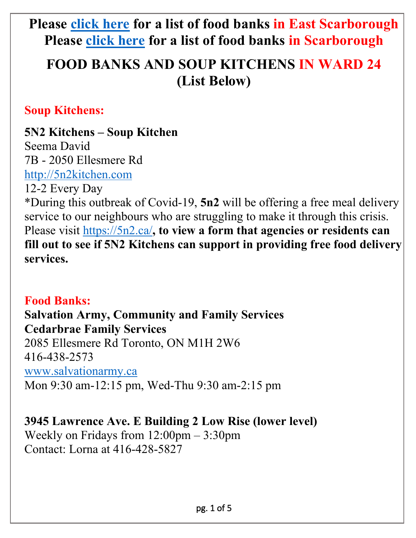# **Please [click here](https://drive.google.com/file/d/1PrHiPcR4-UcvKoF2OjziEpQwH31iPc4m/view) for a list of food banks in East Scarborough Please [click here](https://www.211toronto.ca/quick/Central%20Region/ORGANIZATION/food%20bank/Scarborough/ENGLISH/1/0/LOCATED_IN_REGION) for a list of food banks in Scarborough**

# **FOOD BANKS AND SOUP KITCHENS IN WARD 24 (List Below)**

### **Soup Kitchens:**

# **5N2 Kitchens – Soup Kitchen**

Seema David 7B - 2050 Ellesmere Rd [http://5n2kitchen.com](http://5n2kitchen.com/)

12-2 Every Day

\*During this outbreak of Covid-19, **5n2** will be offering a free meal delivery service to our neighbours who are struggling to make it through this crisis. Please visit<https://5n2.ca/>, to view a form that agencies or residents can **fill out to see if 5N2 Kitchens can support in providing free food delivery services.**

# **Food Banks:**

**Salvation Army, Community and Family Services Cedarbrae Family Services**  2085 Ellesmere Rd Toronto, ON M1H 2W6 416-438-2573 [www.salvationarmy.ca](http://www.salvationarmy.ca/)  Mon 9:30 am-12:15 pm, Wed-Thu 9:30 am-2:15 pm

**3945 Lawrence Ave. E Building 2 Low Rise (lower level)** Weekly on Fridays from 12:00pm – 3:30pm Contact: Lorna at 416-428-5827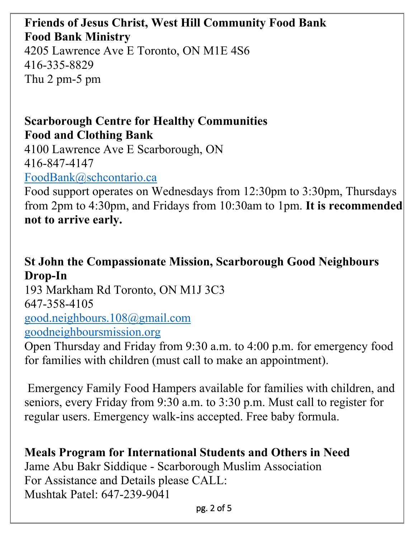# **Friends of Jesus Christ, West Hill Community Food Bank Food Bank Ministry**

4205 Lawrence Ave E Toronto, ON M1E 4S6 416-335-8829 Thu 2 pm-5 pm

## **Scarborough Centre for Healthy Communities Food and Clothing Bank**

4100 Lawrence Ave E Scarborough, ON 416-847-4147

[FoodBank@schcontario.ca](mailto:FoodBank@schcontario.ca) 

Food support operates on Wednesdays from 12:30pm to 3:30pm, Thursdays from 2pm to 4:30pm, and Fridays from 10:30am to 1pm. **It is recommended not to arrive early.**

# **St John the Compassionate Mission, Scarborough Good Neighbours Drop-In**

193 Markham Rd Toronto, ON M1J 3C3 647-358-4105 [good.neighbours.108@gmail.com](mailto:good.neighbours.108@gmail.com)  [goodneighboursmission.org](http://goodneighboursmission.org/)

Open Thursday and Friday from 9:30 a.m. to 4:00 p.m. for emergency food for families with children (must call to make an appointment).

Emergency Family Food Hampers available for families with children, and seniors, every Friday from 9:30 a.m. to 3:30 p.m. Must call to register for regular users. Emergency walk-ins accepted. Free baby formula.

# **Meals Program for International Students and Others in Need** Jame Abu Bakr Siddique - Scarborough Muslim Association For Assistance and Details please CALL: Mushtak Patel: 647-239-9041

pg. 2 of 5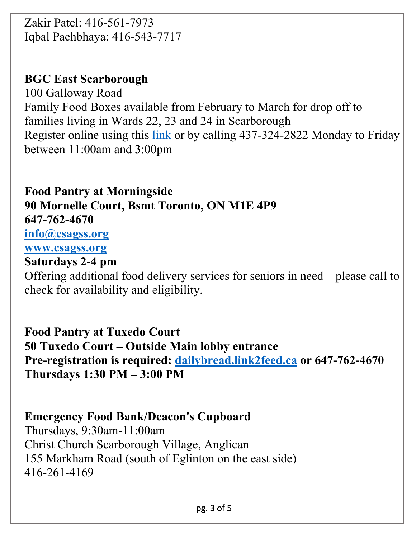Zakir Patel: 416-561-7973 Iqbal Pachbhaya: 416-543-7717

## **BGC East Scarborough**

100 Galloway Road Family Food Boxes available from February to March for drop off to families living in Wards 22, 23 and 24 in Scarborough Register online using this [link](https://forms.office.com/Pages/ResponsePage.aspx?id=PG5y-CFZdUypbLdtDsJB_mtiHQqWAjJPlHkcizBtTzZUOU4wMVJFSTdRNTlFSTNXTU9PUk9GUTcwMy4u) or by calling 437-324-2822 Monday to Friday between 11:00am and 3:00pm

**Food Pantry at Morningside 90 Mornelle Court, Bsmt Toronto, ON M1E 4P9 647-762-4670 [info@csagss.org](mailto:info@csagss.org)  [www.csagss.org](http://www.csagss.org/)  Saturdays 2-4 pm**

Offering additional food delivery services for seniors in need – please call to check for availability and eligibility.

**Food Pantry at Tuxedo Court 50 Tuxedo Court – Outside Main lobby entrance Pre-registration is required: [dailybread.link2feed.ca](https://dailybread.link2feed.ca/) or 647-762-4670 Thursdays 1:30 PM – 3:00 PM**

# **Emergency Food Bank/Deacon's Cupboard**

Thursdays, 9:30am-11:00am Christ Church Scarborough Village, Anglican 155 Markham Road (south of Eglinton on the east side) 416-261-4169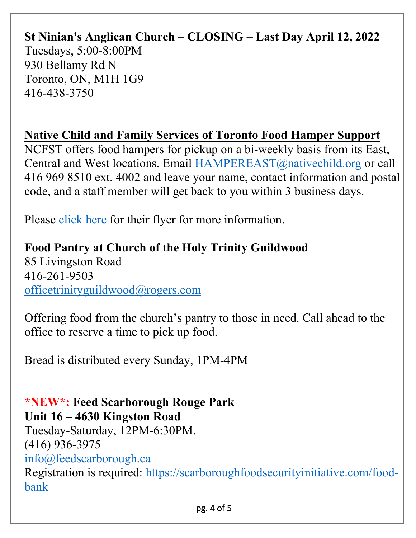## **St Ninian's Anglican Church – CLOSING – Last Day April 12, 2022** Tuesdays, 5:00-8:00PM 930 Bellamy Rd N Toronto, ON, M1H 1G9

# **Native Child and Family Services of Toronto Food Hamper Support**

NCFST offers food hampers for pickup on a bi-weekly basis from its East, Central and West locations. Email [HAMPEREAST@nativechild.org](mailto:HAMPEREAST@nativechild.org) or call 416 969 8510 ext. 4002 and leave your name, contact information and postal code, and a staff member will get back to you within 3 business days.

Please [click here](https://www.paulainslie.com/FILES/2021/NCFST_Food_Hamper_Support.png) for their flyer for more information.

#### **Food Pantry at Church of the Holy Trinity Guildwood**

85 Livingston Road 416-261-9503 [officetrinityguildwood@rogers.com](mailto:officetrinityguildwood@rogers.com)

416-438-3750

Offering food from the church's pantry to those in need. Call ahead to the office to reserve a time to pick up food.

Bread is distributed every Sunday, 1PM-4PM

#### **\*NEW\*: Feed Scarborough Rouge Park Unit 16 – 4630 Kingston Road**

Tuesday-Saturday, 12PM-6:30PM. (416) 936-3975

[info@feedscarborough.ca](mailto:info@feedscarborough.ca) 

Registration is required: [https://scarboroughfoodsecurityinitiative.com/food](https://scarboroughfoodsecurityinitiative.com/food-bank)[bank](https://scarboroughfoodsecurityinitiative.com/food-bank)